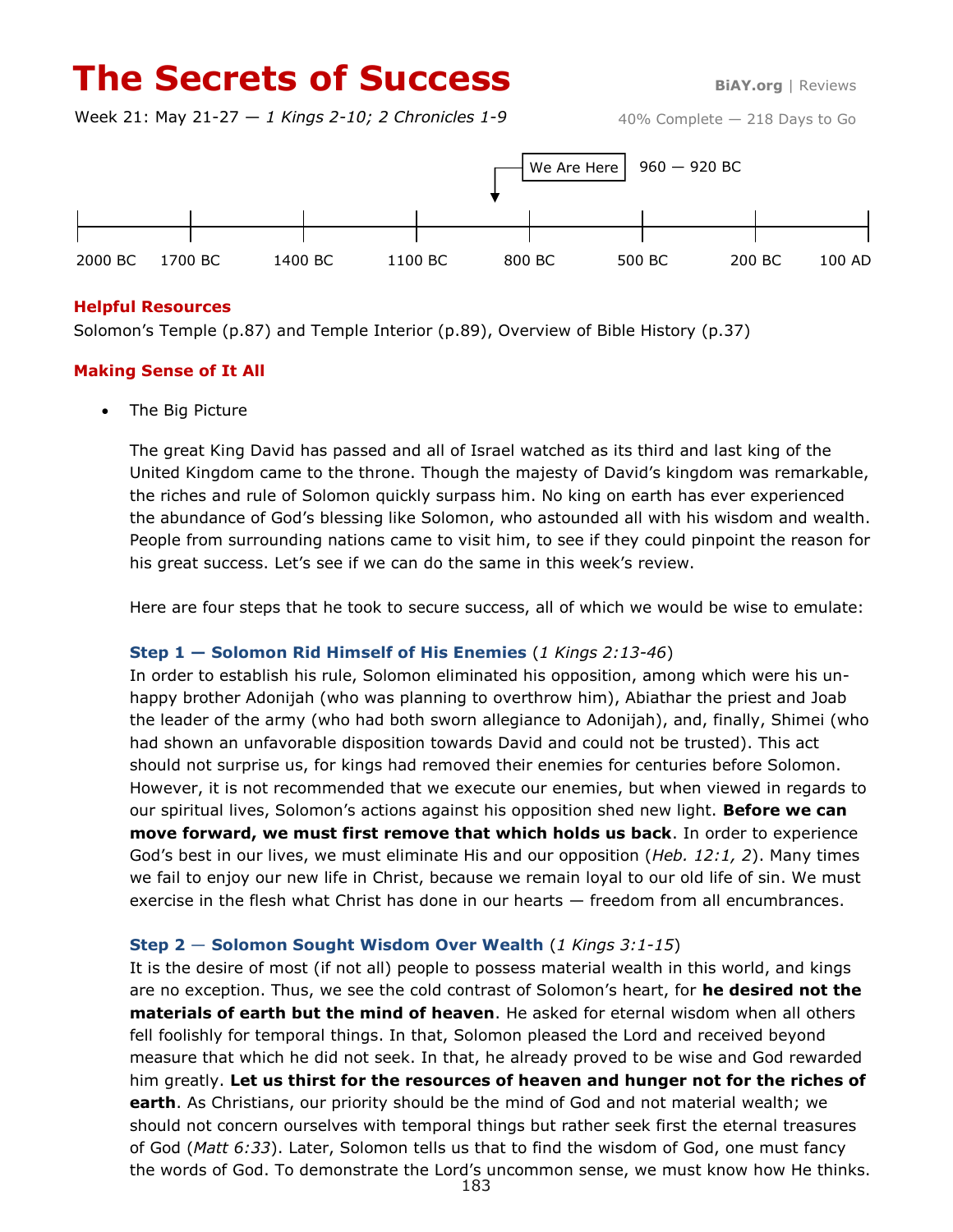# **The Secrets of Success BiAY.org** | Reviews

Week 21: May 21-27 — *1 Kings 2-10; 2 Chronicles 1-9*



## **Helpful Resources**

Solomon's Temple (p.87) and Temple Interior (p.89), Overview of Bible History (p.37)

## **Making Sense of It All**

• The Big Picture

The great King David has passed and all of Israel watched as its third and last king of the United Kingdom came to the throne. Though the majesty of David's kingdom was remarkable, the riches and rule of Solomon quickly surpass him. No king on earth has ever experienced the abundance of God's blessing like Solomon, who astounded all with his wisdom and wealth. People from surrounding nations came to visit him, to see if they could pinpoint the reason for his great success. Let's see if we can do the same in this week's review.

Here are four steps that he took to secure success, all of which we would be wise to emulate:

#### **Step 1 — Solomon Rid Himself of His Enemies** (*1 Kings 2:13-46*)

In order to establish his rule, Solomon eliminated his opposition, among which were his unhappy brother Adonijah (who was planning to overthrow him), Abiathar the priest and Joab the leader of the army (who had both sworn allegiance to Adonijah), and, finally, Shimei (who had shown an unfavorable disposition towards David and could not be trusted). This act should not surprise us, for kings had removed their enemies for centuries before Solomon. However, it is not recommended that we execute our enemies, but when viewed in regards to our spiritual lives, Solomon's actions against his opposition shed new light. **Before we can move forward, we must first remove that which holds us back**. In order to experience God's best in our lives, we must eliminate His and our opposition (*Heb. 12:1, 2*). Many times we fail to enjoy our new life in Christ, because we remain loyal to our old life of sin. We must exercise in the flesh what Christ has done in our hearts — freedom from all encumbrances.

#### **Step 2** — **Solomon Sought Wisdom Over Wealth** (*1 Kings 3:1-15*)

It is the desire of most (if not all) people to possess material wealth in this world, and kings are no exception. Thus, we see the cold contrast of Solomon's heart, for **he desired not the materials of earth but the mind of heaven**. He asked for eternal wisdom when all others fell foolishly for temporal things. In that, Solomon pleased the Lord and received beyond measure that which he did not seek. In that, he already proved to be wise and God rewarded him greatly. **Let us thirst for the resources of heaven and hunger not for the riches of earth**. As Christians, our priority should be the mind of God and not material wealth; we should not concern ourselves with temporal things but rather seek first the eternal treasures of God (*Matt 6:33*). Later, Solomon tells us that to find the wisdom of God, one must fancy the words of God. To demonstrate the Lord's uncommon sense, we must know how He thinks.